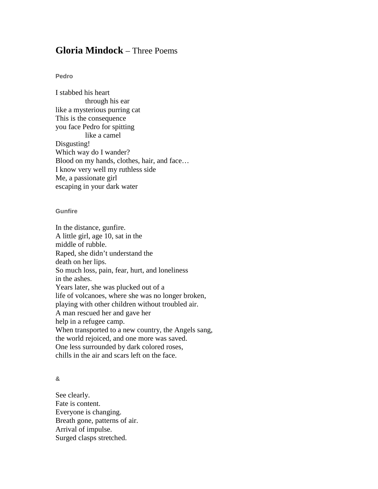## **Gloria Mindock** – Three Poems

## **Pedro**

I stabbed his heart through his ear like a mysterious purring cat This is the consequence you face Pedro for spitting like a camel Disgusting! Which way do I wander? Blood on my hands, clothes, hair, and face… I know very well my ruthless side Me, a passionate girl escaping in your dark water

## **Gunfire**

In the distance, gunfire. A little girl, age 10, sat in the middle of rubble. Raped, she didn't understand the death on her lips. So much loss, pain, fear, hurt, and loneliness in the ashes. Years later, she was plucked out of a life of volcanoes, where she was no longer broken, playing with other children without troubled air. A man rescued her and gave her help in a refugee camp. When transported to a new country, the Angels sang, the world rejoiced, and one more was saved. One less surrounded by dark colored roses, chills in the air and scars left on the face.

## **&**

See clearly. Fate is content. Everyone is changing. Breath gone, patterns of air. Arrival of impulse. Surged clasps stretched.